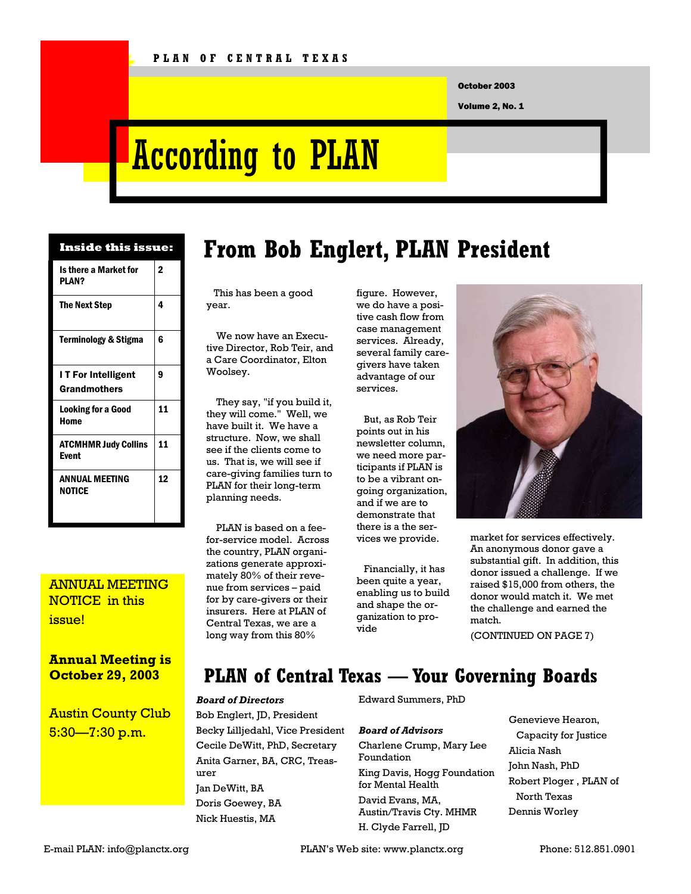October 2003

Volume 2, No. 1

# According to PLAN

| Inside this issue:                         |                |
|--------------------------------------------|----------------|
| Is there a Market for<br>PI AN?            | $\overline{2}$ |
| The Next Step                              | 4              |
| <b>Terminology &amp; Stigma</b>            | հ              |
| I T For Intelligent<br><b>Grandmothers</b> | 9              |
| <b>Looking for a Good</b><br>Home          | 11             |
| <b>ATCMHMR Judy Collins</b><br>Event       | 11             |
| <b>ANNUAL MEETING</b><br><b>NOTICE</b>     | 12             |

### ANNUAL MEETING NOTICE in this issue!

#### **Annual Meeting is October 29, 2003**

Austin County Club 5:30—7:30 p.m.

# **From Bob Englert, PLAN President**

 This has been a good year.

 We now have an Executive Director, Rob Teir, and a Care Coordinator, Elton Woolsey.

 They say, "if you build it, they will come." Well, we have built it. We have a structure. Now, we shall see if the clients come to us. That is, we will see if care-giving families turn to PLAN for their long-term planning needs.

 PLAN is based on a feefor-service model. Across the country, PLAN organizations generate approximately 80% of their revenue from services – paid for by care-givers or their insurers. Here at PLAN of Central Texas, we are a long way from this 80%

figure. However, we do have a positive cash flow from case management services. Already, several family caregivers have taken advantage of our services.

 But, as Rob Teir points out in his newsletter column, we need more participants if PLAN is to be a vibrant ongoing organization, and if we are to demonstrate that there is a the services we provide.

 Financially, it has been quite a year, enabling us to build and shape the organization to provide



market for services effectively. An anonymous donor gave a substantial gift. In addition, this donor issued a challenge. If we raised \$15,000 from others, the donor would match it. We met the challenge and earned the match.

(CONTINUED ON PAGE 7)

## **PLAN of Central Texas — Your Governing Boards**

#### *Board of Directors*  Bob Englert, JD, President Becky Lilljedahl, Vice President Cecile DeWitt, PhD, Secretary Anita Garner, BA, CRC, Treasurer Jan DeWitt, BA Doris Goewey, BA Nick Huestis, MA

#### Edward Summers, PhD

#### *Board of Advisors*

Charlene Crump, Mary Lee Foundation King Davis, Hogg Foundation for Mental Health David Evans, MA, Austin/Travis Cty. MHMR H. Clyde Farrell, JD

Genevieve Hearon, Capacity for Justice Alicia Nash John Nash, PhD Robert Ploger , PLAN of North Texas Dennis Worley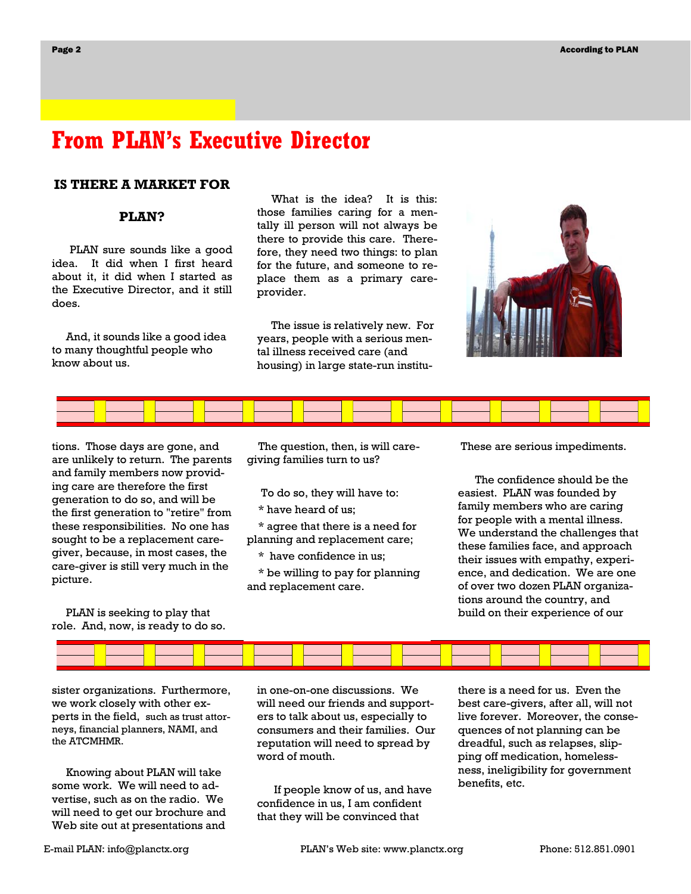## **From PLAN's Executive Director**

#### **IS THERE A MARKET FOR**

#### **PLAN?**

PLAN sure sounds like a good idea. It did when I first heard about it, it did when I started as the Executive Director, and it still does.

 And, it sounds like a good idea to many thoughtful people who know about us.

 What is the idea? It is this: those families caring for a mentally ill person will not always be there to provide this care. Therefore, they need two things: to plan for the future, and someone to replace them as a primary careprovider.

 The issue is relatively new. For years, people with a serious mental illness received care (and housing) in large state-run institu-





tions. Those days are gone, and are unlikely to return. The parents and family members now providing care are therefore the first generation to do so, and will be the first generation to "retire" from these responsibilities. No one has sought to be a replacement caregiver, because, in most cases, the care-giver is still very much in the picture.

 PLAN is seeking to play that role. And, now, is ready to do so.

 The question, then, is will caregiving families turn to us?

To do so, they will have to:

\* have heard of us;

 \* agree that there is a need for planning and replacement care;

\* have confidence in us;

 \* be willing to pay for planning and replacement care.

These are serious impediments.

 The confidence should be the easiest. PLAN was founded by family members who are caring for people with a mental illness. We understand the challenges that these families face, and approach their issues with empathy, experience, and dedication. We are one of over two dozen PLAN organizations around the country, and build on their experience of our



sister organizations. Furthermore, we work closely with other experts in the field, such as trust attorneys, financial planners, NAMI, and the ATCMHMR.

 Knowing about PLAN will take some work. We will need to advertise, such as on the radio. We will need to get our brochure and Web site out at presentations and

in one-on-one discussions. We will need our friends and supporters to talk about us, especially to consumers and their families. Our reputation will need to spread by word of mouth.

 If people know of us, and have confidence in us, I am confident that they will be convinced that

there is a need for us. Even the best care-givers, after all, will not live forever. Moreover, the consequences of not planning can be dreadful, such as relapses, slipping off medication, homelessness, ineligibility for government benefits, etc.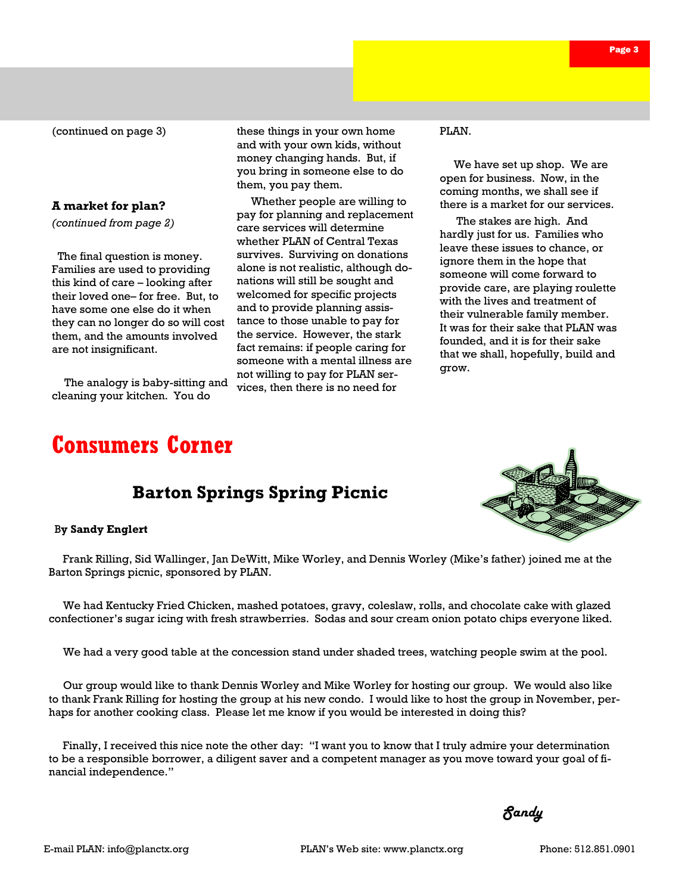Page 3

(continued on page 3)

#### **A market for plan?**

*(continued from page 2)* 

 The final question is money. Families are used to providing this kind of care – looking after their loved one– for free. But, to have some one else do it when they can no longer do so will cost them, and the amounts involved are not insignificant.

 The analogy is baby-sitting and cleaning your kitchen. You do

these things in your own home and with your own kids, without money changing hands. But, if you bring in someone else to do them, you pay them.

 Whether people are willing to pay for planning and replacement care services will determine whether PLAN of Central Texas survives. Surviving on donations alone is not realistic, although donations will still be sought and welcomed for specific projects and to provide planning assistance to those unable to pay for the service. However, the stark fact remains: if people caring for someone with a mental illness are not willing to pay for PLAN services, then there is no need for

PLAN.

 We have set up shop. We are open for business. Now, in the coming months, we shall see if there is a market for our services.

 The stakes are high. And hardly just for us. Families who leave these issues to chance, or ignore them in the hope that someone will come forward to provide care, are playing roulette with the lives and treatment of their vulnerable family member. It was for their sake that PLAN was founded, and it is for their sake that we shall, hopefully, build and grow.

# **Consumers Corner**

## **Barton Springs Spring Picnic**

#### B**y Sandy Englert**

 Frank Rilling, Sid Wallinger, Jan DeWitt, Mike Worley, and Dennis Worley (Mike's father) joined me at the Barton Springs picnic, sponsored by PLAN.

 We had Kentucky Fried Chicken, mashed potatoes, gravy, coleslaw, rolls, and chocolate cake with glazed confectioner's sugar icing with fresh strawberries. Sodas and sour cream onion potato chips everyone liked.

We had a very good table at the concession stand under shaded trees, watching people swim at the pool.

 Our group would like to thank Dennis Worley and Mike Worley for hosting our group. We would also like to thank Frank Rilling for hosting the group at his new condo. I would like to host the group in November, perhaps for another cooking class. Please let me know if you would be interested in doing this?

 Finally, I received this nice note the other day: "I want you to know that I truly admire your determination to be a responsible borrower, a diligent saver and a competent manager as you move toward your goal of financial independence."

 *Sandy*  $\alpha$  *Sandy*  $\alpha$ 

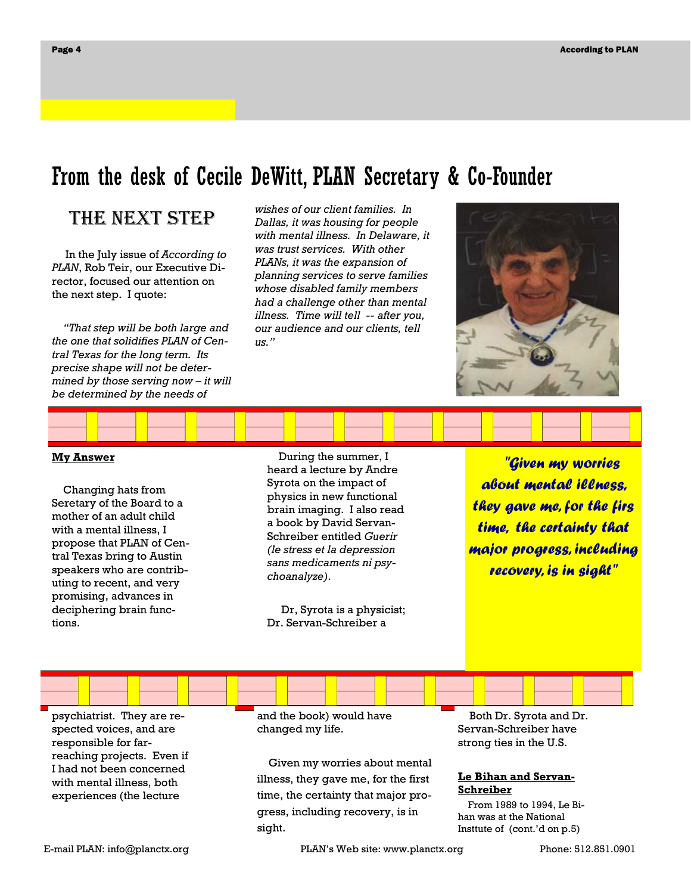# From the desk of Cecile DeWitt, PLAN Secretary & Co-Founder

## THE NEXT STEP

 In the July issue of *According to PLAN*, Rob Teir, our Executive Director, focused our attention on the next step. I quote:

 *"That step will be both large and the one that solidifies PLAN of Central Texas for the long term. Its precise shape will not be determined by those serving now – it will be determined by the needs of* 

*wishes of our client families. In Dallas, it was housing for people with mental illness. In Delaware, it was trust services. With other PLANs, it was the expansion of planning services to serve families whose disabled family members had a challenge other than mental illness. Time will tell -- after you, our audience and our clients, tell us."* 



#### **My Answer**

 Changing hats from Seretary of the Board to a mother of an adult child with a mental illness, I propose that PLAN of Central Texas bring to Austin speakers who are contributing to recent, and very promising, advances in deciphering brain functions.

 During the summer, I heard a lecture by Andre Syrota on the impact of physics in new functional brain imaging. I also read a book by David Servan-Schreiber entitled *Guerir (le stress et la depression sans medicaments ni psychoanalyze)*.

 Dr, Syrota is a physicist; Dr. Servan-Schreiber a

 *"Given my worries about mental illness, they gave me, for the firs time, the certainty that major progress, including recovery, is in sight"* 

psychiatrist. They are respected voices, and are responsible for farreaching projects. Even if I had not been concerned with mental illness, both experiences (the lecture

and the book) would have changed my life.

 Given my worries about mental illness, they gave me, for the first time, the certainty that major progress, including recovery, is in sight.

 Both Dr. Syrota and Dr. Servan-Schreiber have strong ties in the U.S.

#### **Le Bihan and Servan-Schreiber**

 From 1989 to 1994, Le Bihan was at the National Insttute of (cont.'d on p.5)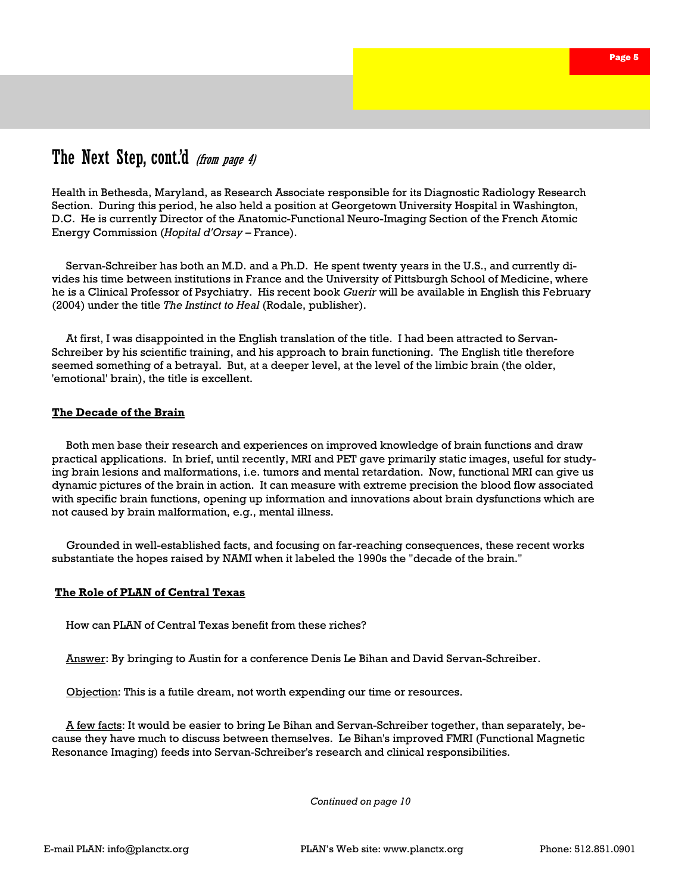## The Next Step, cont.'d (from page 4)

Health in Bethesda, Maryland, as Research Associate responsible for its Diagnostic Radiology Research Section. During this period, he also held a position at Georgetown University Hospital in Washington, D.C. He is currently Director of the Anatomic-Functional Neuro-Imaging Section of the French Atomic Energy Commission (*Hopital d'Orsay* – France).

 Servan-Schreiber has both an M.D. and a Ph.D. He spent twenty years in the U.S., and currently divides his time between institutions in France and the University of Pittsburgh School of Medicine, where he is a Clinical Professor of Psychiatry. His recent book *Guerir* will be available in English this February (2004) under the title *The Instinct to Heal* (Rodale, publisher).

 At first, I was disappointed in the English translation of the title. I had been attracted to Servan-Schreiber by his scientific training, and his approach to brain functioning. The English title therefore seemed something of a betrayal. But, at a deeper level, at the level of the limbic brain (the older, 'emotional' brain), the title is excellent.

#### **The Decade of the Brain**

 Both men base their research and experiences on improved knowledge of brain functions and draw practical applications. In brief, until recently, MRI and PET gave primarily static images, useful for studying brain lesions and malformations, i.e. tumors and mental retardation. Now, functional MRI can give us dynamic pictures of the brain in action. It can measure with extreme precision the blood flow associated with specific brain functions, opening up information and innovations about brain dysfunctions which are not caused by brain malformation, e.g., mental illness.

 Grounded in well-established facts, and focusing on far-reaching consequences, these recent works substantiate the hopes raised by NAMI when it labeled the 1990s the "decade of the brain."

#### **The Role of PLAN of Central Texas**

How can PLAN of Central Texas benefit from these riches?

Answer: By bringing to Austin for a conference Denis Le Bihan and David Servan-Schreiber.

Objection: This is a futile dream, not worth expending our time or resources.

 A few facts: It would be easier to bring Le Bihan and Servan-Schreiber together, than separately, because they have much to discuss between themselves. Le Bihan's improved FMRI (Functional Magnetic Resonance Imaging) feeds into Servan-Schreiber's research and clinical responsibilities.

*Continued on page 10*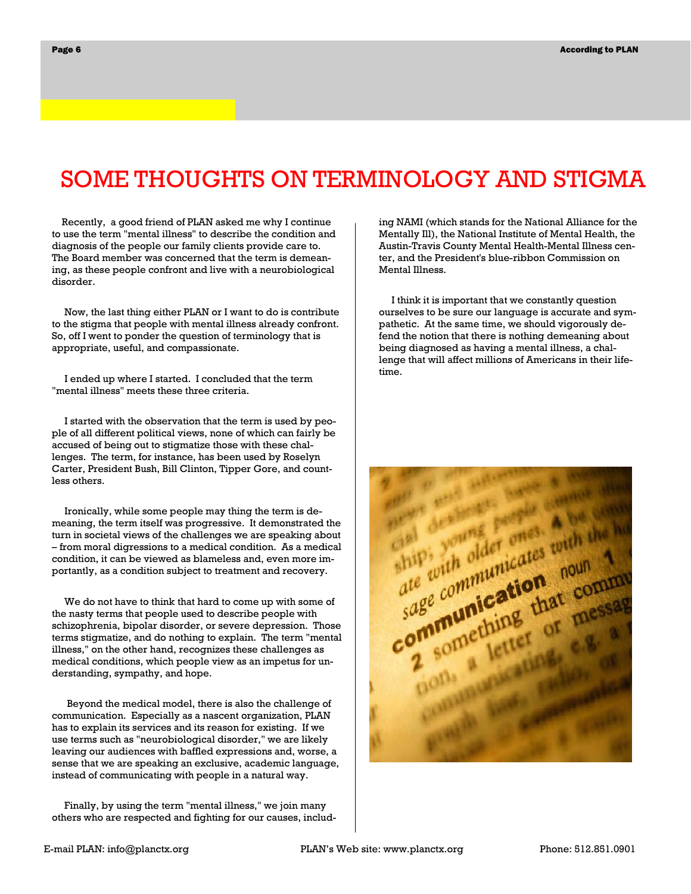# SOME THOUGHTS ON TERMINOLOGY AND STIGMA

 Recently, a good friend of PLAN asked me why I continue to use the term "mental illness" to describe the condition and diagnosis of the people our family clients provide care to. The Board member was concerned that the term is demeaning, as these people confront and live with a neurobiological disorder.

 Now, the last thing either PLAN or I want to do is contribute to the stigma that people with mental illness already confront. So, off I went to ponder the question of terminology that is appropriate, useful, and compassionate.

 I ended up where I started. I concluded that the term "mental illness" meets these three criteria.

 I started with the observation that the term is used by people of all different political views, none of which can fairly be accused of being out to stigmatize those with these challenges. The term, for instance, has been used by Roselyn Carter, President Bush, Bill Clinton, Tipper Gore, and countless others.

 Ironically, while some people may thing the term is demeaning, the term itself was progressive. It demonstrated the turn in societal views of the challenges we are speaking about – from moral digressions to a medical condition. As a medical condition, it can be viewed as blameless and, even more importantly, as a condition subject to treatment and recovery.

 We do not have to think that hard to come up with some of the nasty terms that people used to describe people with schizophrenia, bipolar disorder, or severe depression. Those terms stigmatize, and do nothing to explain. The term "mental illness," on the other hand, recognizes these challenges as medical conditions, which people view as an impetus for understanding, sympathy, and hope.

 Beyond the medical model, there is also the challenge of communication. Especially as a nascent organization, PLAN has to explain its services and its reason for existing. If we use terms such as "neurobiological disorder," we are likely leaving our audiences with baffled expressions and, worse, a sense that we are speaking an exclusive, academic language, instead of communicating with people in a natural way.

 Finally, by using the term "mental illness," we join many others who are respected and fighting for our causes, including NAMI (which stands for the National Alliance for the Mentally Ill), the National Institute of Mental Health, the Austin-Travis County Mental Health-Mental Illness center, and the President's blue-ribbon Commission on Mental Illness.

 I think it is important that we constantly question ourselves to be sure our language is accurate and sympathetic. At the same time, we should vigorously defend the notion that there is nothing demeaning about being diagnosed as having a mental illness, a challenge that will affect millions of Americans in their lifetime.

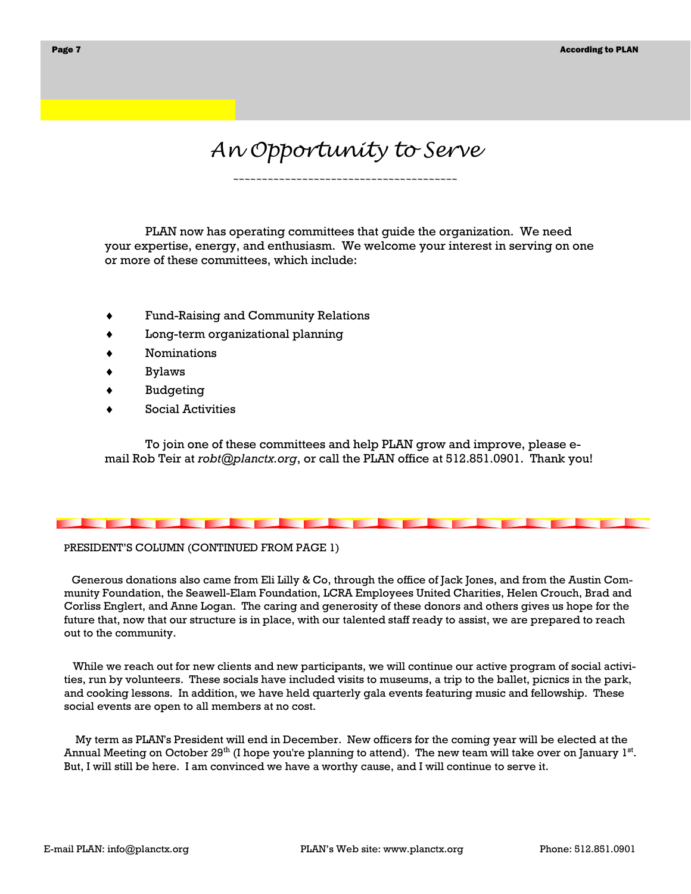# *An Opportunity to Serve*

*\_\_\_\_\_\_\_\_\_\_\_\_\_\_\_\_\_\_\_\_\_\_\_\_\_\_\_\_\_\_\_\_\_\_\_\_\_\_\_* 

 PLAN now has operating committees that guide the organization. We need your expertise, energy, and enthusiasm. We welcome your interest in serving on one or more of these committees, which include:

- ♦ Fund-Raising and Community Relations
- Long-term organizational planning
- **Nominations**
- **Bylaws**
- **Budgeting**
- Social Activities

 To join one of these committees and help PLAN grow and improve, please email Rob Teir at *robt@planctx.org*, or call the PLAN office at 512.851.0901. Thank you!

#### PRESIDENT'S COLUMN (CONTINUED FROM PAGE 1)

 Generous donations also came from Eli Lilly & Co, through the office of Jack Jones, and from the Austin Community Foundation, the Seawell-Elam Foundation, LCRA Employees United Charities, Helen Crouch, Brad and Corliss Englert, and Anne Logan. The caring and generosity of these donors and others gives us hope for the future that, now that our structure is in place, with our talented staff ready to assist, we are prepared to reach out to the community.

 While we reach out for new clients and new participants, we will continue our active program of social activities, run by volunteers. These socials have included visits to museums, a trip to the ballet, picnics in the park, and cooking lessons. In addition, we have held quarterly gala events featuring music and fellowship. These social events are open to all members at no cost.

 My term as PLAN's President will end in December. New officers for the coming year will be elected at the Annual Meeting on October 29<sup>th</sup> (I hope you're planning to attend). The new team will take over on January 1<sup>st</sup>. But, I will still be here. I am convinced we have a worthy cause, and I will continue to serve it.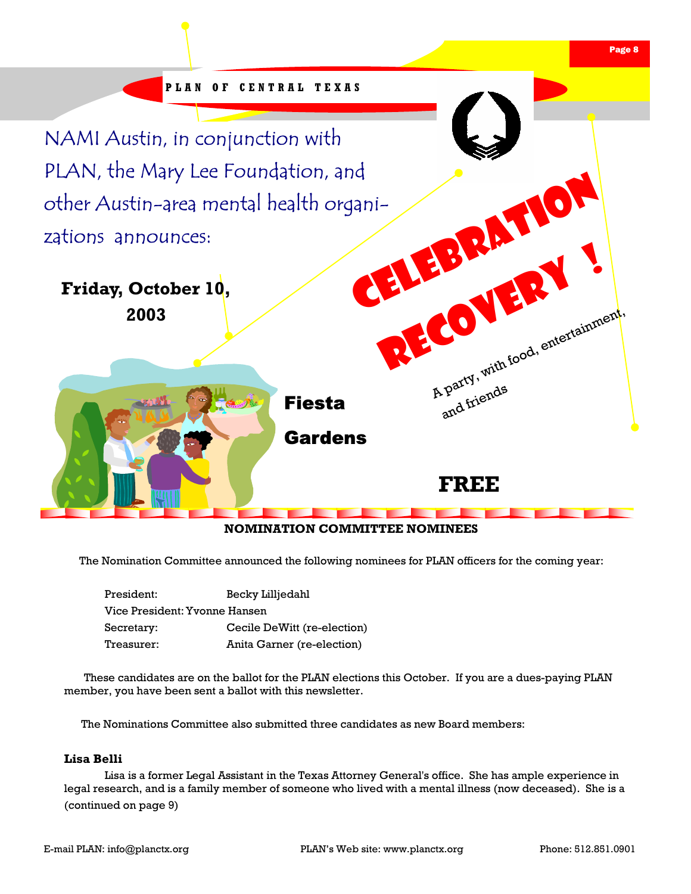

#### **NOMINATION COMMITTEE NOMINEES**

The Nomination Committee announced the following nominees for PLAN officers for the coming year:

| Becky Lilljedahl              |
|-------------------------------|
| Vice President: Yvonne Hansen |
| Cecile DeWitt (re-election)   |
| Anita Garner (re-election)    |
|                               |

 These candidates are on the ballot for the PLAN elections this October. If you are a dues-paying PLAN member, you have been sent a ballot with this newsletter.

The Nominations Committee also submitted three candidates as new Board members:

#### **Lisa Belli**

Lisa is a former Legal Assistant in the Texas Attorney General's office. She has ample experience in legal research, and is a family member of someone who lived with a mental illness (now deceased). She is a (continued on page 9)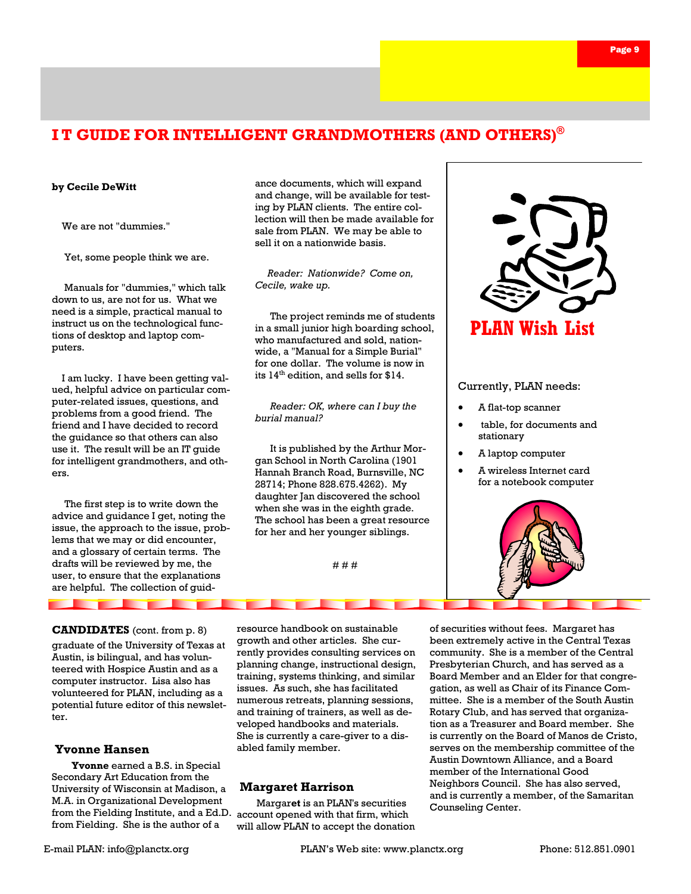## **I T GUIDE FOR INTELLIGENT GRANDMOTHERS (AND OTHERS)®**

#### **by Cecile DeWitt**

We are not "dummies."

Yet, some people think we are.

 Manuals for "dummies," which talk down to us, are not for us. What we need is a simple, practical manual to instruct us on the technological functions of desktop and laptop computers.

 I am lucky. I have been getting valued, helpful advice on particular computer-related issues, questions, and problems from a good friend. The friend and I have decided to record the guidance so that others can also use it. The result will be an IT guide for intelligent grandmothers, and others.

 The first step is to write down the advice and guidance I get, noting the issue, the approach to the issue, problems that we may or did encounter, and a glossary of certain terms. The drafts will be reviewed by me, the user, to ensure that the explanations are helpful. The collection of guid-

<u>a shekara t</u>

#### **CANDIDATES** (cont. from p. 8)

**The Second Second** 

graduate of the University of Texas at Austin, is bilingual, and has volunteered with Hospice Austin and as a computer instructor. Lisa also has volunteered for PLAN, including as a potential future editor of this newsletter.

#### **Yvonne Hansen**

from the Fielding Institute, and a Ed.D. account opened with that firm, which  **Yvonne** earned a B.S. in Special Secondary Art Education from the University of Wisconsin at Madison, a M.A. in Organizational Development from Fielding. She is the author of a

ance documents, which will expand and change, will be available for testing by PLAN clients. The entire collection will then be made available for sale from PLAN. We may be able to sell it on a nationwide basis.

 *Reader: Nationwide? Come on, Cecile, wake up.* 

 The project reminds me of students in a small junior high boarding school, who manufactured and sold, nationwide, a "Manual for a Simple Burial" for one dollar. The volume is now in its  $14<sup>th</sup>$  edition, and sells for \$14.

 *Reader: OK, where can I buy the burial manual?* 

 It is published by the Arthur Morgan School in North Carolina (1901 Hannah Branch Road, Burnsville, NC 28714; Phone 828.675.4262). My daughter Jan discovered the school when she was in the eighth grade. The school has been a great resource for her and her younger siblings.

# # #



#### Currently, PLAN needs:

- A flat-top scanner
- table, for documents and stationary
- A laptop computer
- A wireless Internet card for a notebook computer



resource handbook on sustainable growth and other articles. She currently provides consulting services on planning change, instructional design, training, systems thinking, and similar issues. As such, she has facilitated numerous retreats, planning sessions, and training of trainers, as well as developed handbooks and materials. She is currently a care-giver to a disabled family member.

#### **Margaret Harrison**

Margar**et** is an PLAN's securities will allow PLAN to accept the donation

of securities without fees. Margaret has been extremely active in the Central Texas community. She is a member of the Central Presbyterian Church, and has served as a Board Member and an Elder for that congregation, as well as Chair of its Finance Committee. She is a member of the South Austin Rotary Club, and has served that organization as a Treasurer and Board member. She is currently on the Board of Manos de Cristo, serves on the membership committee of the Austin Downtown Alliance, and a Board member of the International Good Neighbors Council. She has also served, and is currently a member, of the Samaritan Counseling Center.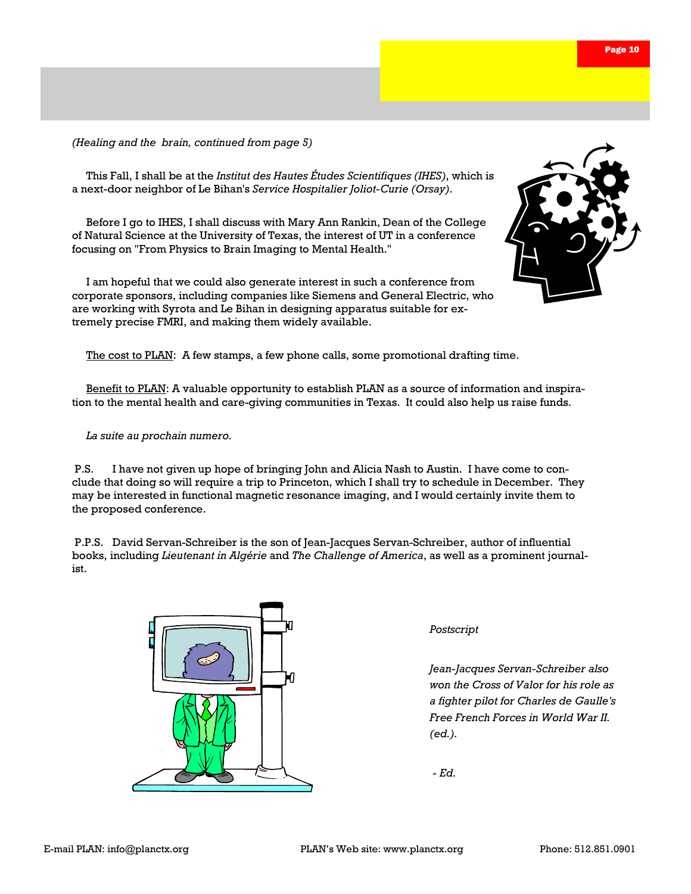*(Healing and the brain, continued from page 5)* 

 This Fall, I shall be at the *Institut des Hautes Études Scientifiques (IHES)*, which is a next-door neighbor of Le Bihan's *Service Hospitalier Joliot-Curie (Orsay)*.

Before I go to IHES, I shall discuss with Mary Ann Rankin, Dean of the College of Natural Science at the University of Texas, the interest of UT in a conference focusing on "From Physics to Brain Imaging to Mental Health."

 I am hopeful that we could also generate interest in such a conference from corporate sponsors, including companies like Siemens and General Electric, who are working with Syrota and Le Bihan in designing apparatus suitable for extremely precise FMRI, and making them widely available.



The cost to PLAN: A few stamps, a few phone calls, some promotional drafting time.

Benefit to PLAN: A valuable opportunity to establish PLAN as a source of information and inspiration to the mental health and care-giving communities in Texas. It could also help us raise funds.

*La suite au prochain numero.*

 P.S. I have not given up hope of bringing John and Alicia Nash to Austin. I have come to conclude that doing so will require a trip to Princeton, which I shall try to schedule in December. They may be interested in functional magnetic resonance imaging, and I would certainly invite them to the proposed conference.

 P.P.S. David Servan-Schreiber is the son of Jean-Jacques Servan-Schreiber, author of influential books, including *Lieutenant in Algérie* and *The Challenge of America*, as well as a prominent journalist.



*Postscript* 

*Jean-Jacques Servan-Schreiber also won the Cross of Valor for his role as a fighter pilot for Charles de Gaulle's Free French Forces in World War II. (ed.).* 

 *- Ed.*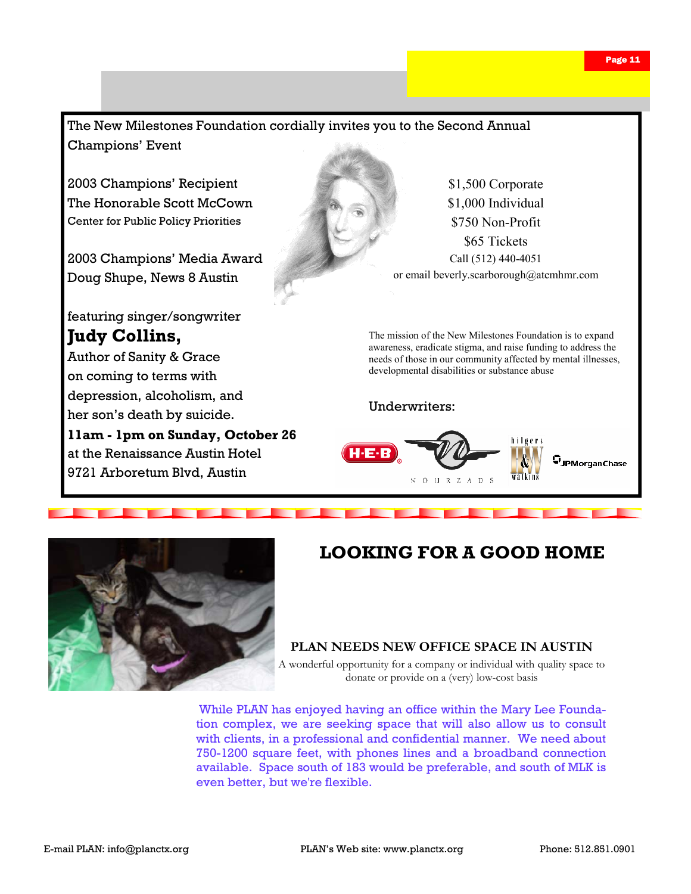



## **LOOKING FOR A GOOD HOME**

#### **PLAN NEEDS NEW OFFICE SPACE IN AUSTIN**

A wonderful opportunity for a company or individual with quality space to donate or provide on a (very) low-cost basis

While PLAN has enjoyed having an office within the Mary Lee Foundation complex, we are seeking space that will also allow us to consult with clients, in a professional and confidential manner. We need about 750-1200 square feet, with phones lines and a broadband connection available. Space south of 183 would be preferable, and south of MLK is even better, but we're flexible.